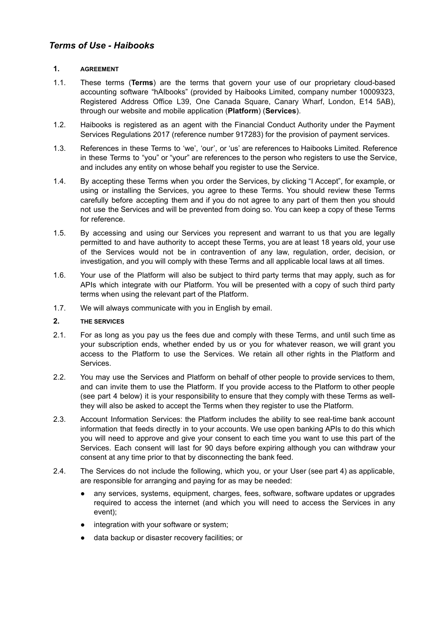### **1. AGREEMENT**

- 1.1. These terms (**Terms**) are the terms that govern your use of our proprietary cloud-based accounting software "hAIbooks" (provided by Haibooks Limited, company number 10009323, Registered Address Office L39, One Canada Square, Canary Wharf, London, E14 5AB), through our website and mobile application (**Platform**) (**Services**).
- 1.2. Haibooks is registered as an agent with the Financial Conduct Authority under the Payment Services Regulations 2017 (reference number 917283) for the provision of payment services.
- 1.3. References in these Terms to 'we', 'our', or 'us' are references to Haibooks Limited. Reference in these Terms to "you" or "your" are references to the person who registers to use the Service, and includes any entity on whose behalf you register to use the Service.
- 1.4. By accepting these Terms when you order the Services, by clicking "I Accept", for example, or using or installing the Services, you agree to these Terms. You should review these Terms carefully before accepting them and if you do not agree to any part of them then you should not use the Services and will be prevented from doing so. You can keep a copy of these Terms for reference.
- 1.5. By accessing and using our Services you represent and warrant to us that you are legally permitted to and have authority to accept these Terms, you are at least 18 years old, your use of the Services would not be in contravention of any law, regulation, order, decision, or investigation, and you will comply with these Terms and all applicable local laws at all times.
- 1.6. Your use of the Platform will also be subject to third party terms that may apply, such as for APIs which integrate with our Platform. You will be presented with a copy of such third party terms when using the relevant part of the Platform.
- 1.7. We will always communicate with you in English by email.

## **2. THE SERVICES**

- 2.1. For as long as you pay us the fees due and comply with these Terms, and until such time as your subscription ends, whether ended by us or you for whatever reason, we will grant you access to the Platform to use the Services. We retain all other rights in the Platform and Services.
- 2.2. You may use the Services and Platform on behalf of other people to provide services to them, and can invite them to use the Platform. If you provide access to the Platform to other people (see part 4 below) it is your responsibility to ensure that they comply with these Terms as wellthey will also be asked to accept the Terms when they register to use the Platform.
- 2.3. Account Information Services: the Platform includes the ability to see real-time bank account information that feeds directly in to your accounts. We use open banking APIs to do this which you will need to approve and give your consent to each time you want to use this part of the Services. Each consent will last for 90 days before expiring although you can withdraw your consent at any time prior to that by disconnecting the bank feed.
- 2.4. The Services do not include the following, which you, or your User (see part 4) as applicable, are responsible for arranging and paying for as may be needed:
	- any services, systems, equipment, charges, fees, software, software updates or upgrades required to access the internet (and which you will need to access the Services in any event);
	- integration with your software or system;
	- data backup or disaster recovery facilities; or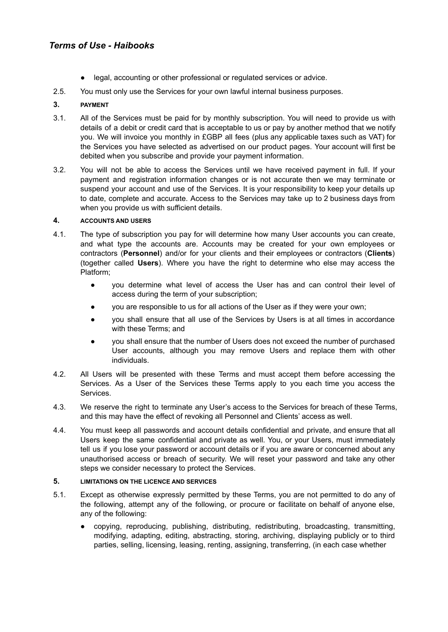- legal, accounting or other professional or regulated services or advice.
- 2.5. You must only use the Services for your own lawful internal business purposes.

## **3. PAYMENT**

- 3.1. All of the Services must be paid for by monthly subscription. You will need to provide us with details of a debit or credit card that is acceptable to us or pay by another method that we notify you. We will invoice you monthly in £GBP all fees (plus any applicable taxes such as VAT) for the Services you have selected as advertised on our product pages. Your account will first be debited when you subscribe and provide your payment information.
- 3.2. You will not be able to access the Services until we have received payment in full. If your payment and registration information changes or is not accurate then we may terminate or suspend your account and use of the Services. It is your responsibility to keep your details up to date, complete and accurate. Access to the Services may take up to 2 business days from when you provide us with sufficient details.

#### **4. ACCOUNTS AND USERS**

- 4.1. The type of subscription you pay for will determine how many User accounts you can create, and what type the accounts are. Accounts may be created for your own employees or contractors (**Personnel**) and/or for your clients and their employees or contractors (**Clients**) (together called **Users**). Where you have the right to determine who else may access the Platform;
	- you determine what level of access the User has and can control their level of access during the term of your subscription;
	- you are responsible to us for all actions of the User as if they were your own;
	- you shall ensure that all use of the Services by Users is at all times in accordance with these Terms; and
	- you shall ensure that the number of Users does not exceed the number of purchased User accounts, although you may remove Users and replace them with other individuals.
- 4.2. All Users will be presented with these Terms and must accept them before accessing the Services. As a User of the Services these Terms apply to you each time you access the Services.
- 4.3. We reserve the right to terminate any User's access to the Services for breach of these Terms, and this may have the effect of revoking all Personnel and Clients' access as well.
- 4.4. You must keep all passwords and account details confidential and private, and ensure that all Users keep the same confidential and private as well. You, or your Users, must immediately tell us if you lose your password or account details or if you are aware or concerned about any unauthorised access or breach of security. We will reset your password and take any other steps we consider necessary to protect the Services.

### **5. LIMITATIONS ON THE LICENCE AND SERVICES**

- 5.1. Except as otherwise expressly permitted by these Terms, you are not permitted to do any of the following, attempt any of the following, or procure or facilitate on behalf of anyone else, any of the following:
	- copying, reproducing, publishing, distributing, redistributing, broadcasting, transmitting, modifying, adapting, editing, abstracting, storing, archiving, displaying publicly or to third parties, selling, licensing, leasing, renting, assigning, transferring, (in each case whether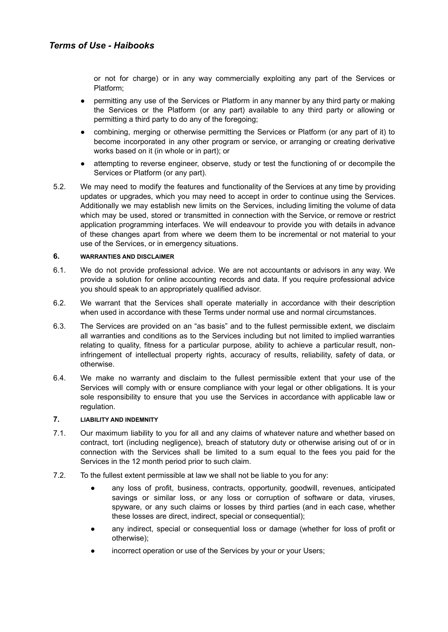or not for charge) or in any way commercially exploiting any part of the Services or Platform;

- permitting any use of the Services or Platform in any manner by any third party or making the Services or the Platform (or any part) available to any third party or allowing or permitting a third party to do any of the foregoing;
- combining, merging or otherwise permitting the Services or Platform (or any part of it) to become incorporated in any other program or service, or arranging or creating derivative works based on it (in whole or in part); or
- attempting to reverse engineer, observe, study or test the functioning of or decompile the Services or Platform (or any part).
- 5.2. We may need to modify the features and functionality of the Services at any time by providing updates or upgrades, which you may need to accept in order to continue using the Services. Additionally we may establish new limits on the Services, including limiting the volume of data which may be used, stored or transmitted in connection with the Service, or remove or restrict application programming interfaces. We will endeavour to provide you with details in advance of these changes apart from where we deem them to be incremental or not material to your use of the Services, or in emergency situations.

#### **6. WARRANTIES AND DISCLAIMER**

- 6.1. We do not provide professional advice. We are not accountants or advisors in any way. We provide a solution for online accounting records and data. If you require professional advice you should speak to an appropriately qualified advisor.
- 6.2. We warrant that the Services shall operate materially in accordance with their description when used in accordance with these Terms under normal use and normal circumstances.
- 6.3. The Services are provided on an "as basis" and to the fullest permissible extent, we disclaim all warranties and conditions as to the Services including but not limited to implied warranties relating to quality, fitness for a particular purpose, ability to achieve a particular result, noninfringement of intellectual property rights, accuracy of results, reliability, safety of data, or otherwise.
- 6.4. We make no warranty and disclaim to the fullest permissible extent that your use of the Services will comply with or ensure compliance with your legal or other obligations. It is your sole responsibility to ensure that you use the Services in accordance with applicable law or regulation.

#### **7. LIABILITY AND INDEMNITY**

- 7.1. Our maximum liability to you for all and any claims of whatever nature and whether based on contract, tort (including negligence), breach of statutory duty or otherwise arising out of or in connection with the Services shall be limited to a sum equal to the fees you paid for the Services in the 12 month period prior to such claim.
- 7.2. To the fullest extent permissible at law we shall not be liable to you for any:
	- any loss of profit, business, contracts, opportunity, goodwill, revenues, anticipated savings or similar loss, or any loss or corruption of software or data, viruses, spyware, or any such claims or losses by third parties (and in each case, whether these losses are direct, indirect, special or consequential);
	- any indirect, special or consequential loss or damage (whether for loss of profit or otherwise);
	- incorrect operation or use of the Services by your or your Users;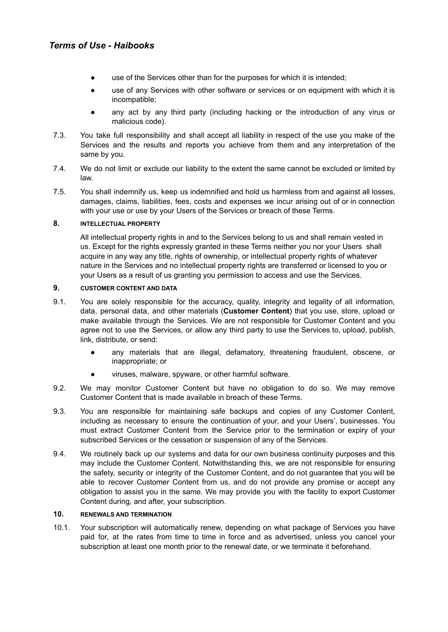- use of the Services other than for the purposes for which it is intended;
- use of any Services with other software or services or on equipment with which it is incompatible;
- any act by any third party (including hacking or the introduction of any virus or malicious code).
- 7.3. You take full responsibility and shall accept all liability in respect of the use you make of the Services and the results and reports you achieve from them and any interpretation of the same by you.
- 7.4. We do not limit or exclude our liability to the extent the same cannot be excluded or limited by law.
- 7.5. You shall indemnify us, keep us indemnified and hold us harmless from and against all losses, damages, claims, liabilities, fees, costs and expenses we incur arising out of or in connection with your use or use by your Users of the Services or breach of these Terms.

#### **8. INTELLECTUAL PROPERTY**

All intellectual property rights in and to the Services belong to us and shall remain vested in us. Except for the rights expressly granted in these Terms neither you nor your Users shall acquire in any way any title, rights of ownership, or intellectual property rights of whatever nature in the Services and no intellectual property rights are transferred or licensed to you or your Users as a result of us granting you permission to access and use the Services.

### **9. CUSTOMER CONTENT AND DATA**

- 9.1. You are solely responsible for the accuracy, quality, integrity and legality of all information, data, personal data, and other materials (**Customer Content**) that you use, store, upload or make available through the Services. We are not responsible for Customer Content and you agree not to use the Services, or allow any third party to use the Services to, upload, publish, link, distribute, or send:
	- any materials that are illegal, defamatory, threatening fraudulent, obscene, or inappropriate; or
	- viruses, malware, spyware, or other harmful software.
- 9.2. We may monitor Customer Content but have no obligation to do so. We may remove Customer Content that is made available in breach of these Terms.
- 9.3. You are responsible for maintaining safe backups and copies of any Customer Content, including as necessary to ensure the continuation of your, and your Users', businesses. You must extract Customer Content from the Service prior to the termination or expiry of your subscribed Services or the cessation or suspension of any of the Services.
- 9.4. We routinely back up our systems and data for our own business continuity purposes and this may include the Customer Content. Notwithstanding this, we are not responsible for ensuring the safety, security or integrity of the Customer Content, and do not guarantee that you will be able to recover Customer Content from us, and do not provide any promise or accept any obligation to assist you in the same. We may provide you with the facility to export Customer Content during, and after, your subscription.

#### **10. RENEWALS AND TERMINATION**

10.1. Your subscription will automatically renew, depending on what package of Services you have paid for, at the rates from time to time in force and as advertised, unless you cancel your subscription at least one month prior to the renewal date, or we terminate it beforehand.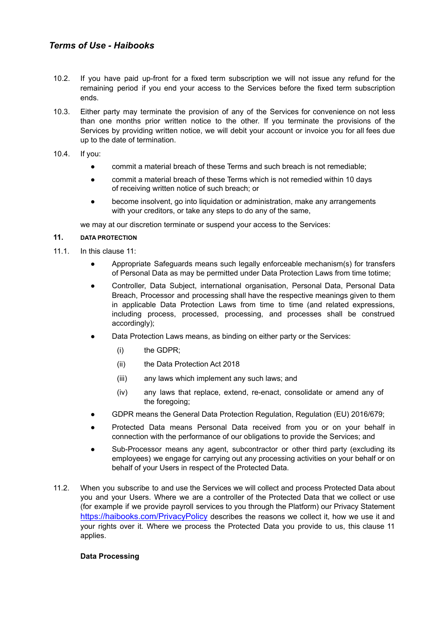- 10.2. If you have paid up-front for a fixed term subscription we will not issue any refund for the remaining period if you end your access to the Services before the fixed term subscription ends.
- 10.3. Either party may terminate the provision of any of the Services for convenience on not less than one months prior written notice to the other. If you terminate the provisions of the Services by providing written notice, we will debit your account or invoice you for all fees due up to the date of termination.
- 10.4. If you:
	- commit a material breach of these Terms and such breach is not remediable;
	- commit a material breach of these Terms which is not remedied within 10 days of receiving written notice of such breach; or
	- become insolvent, go into liquidation or administration, make any arrangements with your creditors, or take any steps to do any of the same,

we may at our discretion terminate or suspend your access to the Services:

## **11. DATA PROTECTION**

- 11.1. In this clause 11:
	- Appropriate Safeguards means such legally enforceable mechanism(s) for transfers of Personal Data as may be permitted under Data Protection Laws from time totime;
	- Controller, Data Subject, international organisation, Personal Data, Personal Data Breach, Processor and processing shall have the respective meanings given to them in applicable Data Protection Laws from time to time (and related expressions, including process, processed, processing, and processes shall be construed accordingly);
	- Data Protection Laws means, as binding on either party or the Services:
		- (i) the GDPR;
		- (ii) the Data Protection Act 2018
		- (iii) any laws which implement any such laws; and
		- (iv) any laws that replace, extend, re-enact, consolidate or amend any of the foregoing;
	- GDPR means the General Data Protection Regulation, Regulation (EU) 2016/679;
	- Protected Data means Personal Data received from you or on your behalf in connection with the performance of our obligations to provide the Services; and
	- Sub-Processor means any agent, subcontractor or other third party (excluding its employees) we engage for carrying out any processing activities on your behalf or on behalf of your Users in respect of the Protected Data.
- 11.2. When you subscribe to and use the Services we will collect and process Protected Data about you and your Users. Where we are a controller of the Protected Data that we collect or use (for example if we provide payroll services to you through the Platform) our Privacy Statement https://haibooks.com/PrivacyPolicy describes the reasons we collect it, how we use it and your rights over it. Where we process the Protected Data you provide to us, this clause 11 applies.

## **Data Processing**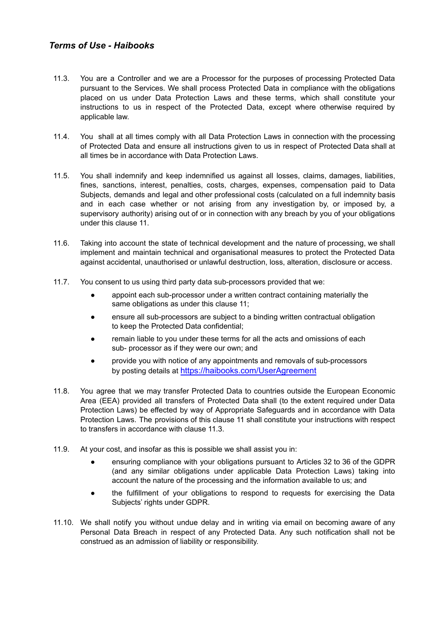- 11.3. You are a Controller and we are a Processor for the purposes of processing Protected Data pursuant to the Services. We shall process Protected Data in compliance with the obligations placed on us under Data Protection Laws and these terms, which shall constitute your instructions to us in respect of the Protected Data, except where otherwise required by applicable law.
- 11.4. You shall at all times comply with all Data Protection Laws in connection with the processing of Protected Data and ensure all instructions given to us in respect of Protected Data shall at all times be in accordance with Data Protection Laws.
- 11.5. You shall indemnify and keep indemnified us against all losses, claims, damages, liabilities, fines, sanctions, interest, penalties, costs, charges, expenses, compensation paid to Data Subjects, demands and legal and other professional costs (calculated on a full indemnity basis and in each case whether or not arising from any investigation by, or imposed by, a supervisory authority) arising out of or in connection with any breach by you of your obligations under this clause 11.
- 11.6. Taking into account the state of technical development and the nature of processing, we shall implement and maintain technical and organisational measures to protect the Protected Data against accidental, unauthorised or unlawful destruction, loss, alteration, disclosure or access.
- 11.7. You consent to us using third party data sub-processors provided that we:
	- appoint each sub-processor under a written contract containing materially the same obligations as under this clause 11;
	- ensure all sub-processors are subject to a binding written contractual obligation to keep the Protected Data confidential;
	- remain liable to you under these terms for all the acts and omissions of each sub- processor as if they were our own; and
	- provide you with notice of any appointments and removals of sub-processors by posting details at https://haibooks.com/UserAgreement
- 11.8. You agree that we may transfer Protected Data to countries outside the European Economic Area (EEA) provided all transfers of Protected Data shall (to the extent required under Data Protection Laws) be effected by way of Appropriate Safeguards and in accordance with Data Protection Laws. The provisions of this clause 11 shall constitute your instructions with respect to transfers in accordance with clause 11.3.
- 11.9. At your cost, and insofar as this is possible we shall assist you in:
	- ensuring compliance with your obligations pursuant to Articles 32 to 36 of the GDPR (and any similar obligations under applicable Data Protection Laws) taking into account the nature of the processing and the information available to us; and
	- the fulfillment of your obligations to respond to requests for exercising the Data Subjects' rights under GDPR.
- 11.10. We shall notify you without undue delay and in writing via email on becoming aware of any Personal Data Breach in respect of any Protected Data. Any such notification shall not be construed as an admission of liability or responsibility.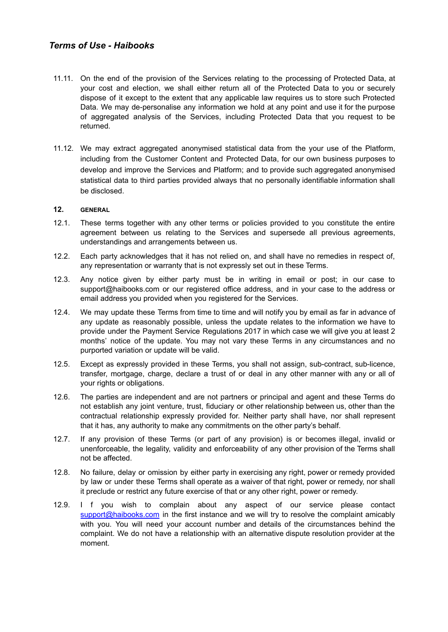- 11.11. On the end of the provision of the Services relating to the processing of Protected Data, at your cost and election, we shall either return all of the Protected Data to you or securely dispose of it except to the extent that any applicable law requires us to store such Protected Data. We may de-personalise any information we hold at any point and use it for the purpose of aggregated analysis of the Services, including Protected Data that you request to be returned.
- 11.12. We may extract aggregated anonymised statistical data from the your use of the Platform, including from the Customer Content and Protected Data, for our own business purposes to develop and improve the Services and Platform; and to provide such aggregated anonymised statistical data to third parties provided always that no personally identifiable information shall be disclosed.

### **12. GENERAL**

- 12.1. These terms together with any other terms or policies provided to you constitute the entire agreement between us relating to the Services and supersede all previous agreements, understandings and arrangements between us.
- 12.2. Each party acknowledges that it has not relied on, and shall have no remedies in respect of, any representation or warranty that is not expressly set out in these Terms.
- 12.3. Any notice given by either party must be in writing in email or post; in our case to [support@haibooks.com](mailto:support@haibooks.com) or our registered office address, and in your case to the address or email address you provided when you registered for the Services.
- 12.4. We may update these Terms from time to time and will notify you by email as far in advance of any update as reasonably possible, unless the update relates to the information we have to provide under the Payment Service Regulations 2017 in which case we will give you at least 2 months' notice of the update. You may not vary these Terms in any circumstances and no purported variation or update will be valid.
- 12.5. Except as expressly provided in these Terms, you shall not assign, sub-contract, sub-licence, transfer, mortgage, charge, declare a trust of or deal in any other manner with any or all of your rights or obligations.
- 12.6. The parties are independent and are not partners or principal and agent and these Terms do not establish any joint venture, trust, fiduciary or other relationship between us, other than the contractual relationship expressly provided for. Neither party shall have, nor shall represent that it has, any authority to make any commitments on the other party's behalf.
- 12.7. If any provision of these Terms (or part of any provision) is or becomes illegal, invalid or unenforceable, the legality, validity and enforceability of any other provision of the Terms shall not be affected.
- 12.8. No failure, delay or omission by either party in exercising any right, power or remedy provided by law or under these Terms shall operate as a waiver of that right, power or remedy, nor shall it preclude or restrict any future exercise of that or any other right, power or remedy.
- 12.9. I f you wish to complain about any aspect of our service please contact [support@haibooks.com](mailto:support@haibooks.com) in the first instance and we will try to resolve the complaint amicably with you. You will need your account number and details of the circumstances behind the complaint. We do not have a relationship with an alternative dispute resolution provider at the moment.